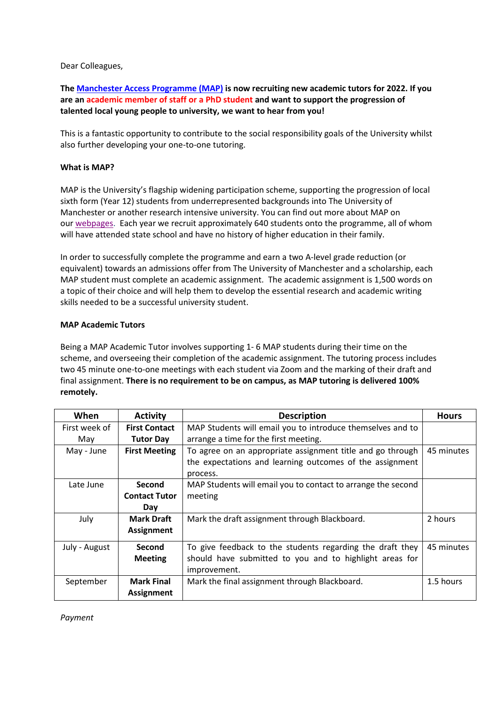Dear Colleagues,

# **The [Manchester Access Programme \(MAP\)](https://www.manchester.ac.uk/study/undergraduate/contextual-admissions/map/) is now recruiting new academic tutors for 2022. If you are an academic member of staff or a PhD student and want to support the progression of talented local young people to university, we want to hear from you!**

This is a fantastic opportunity to contribute to the social responsibility goals of the University whilst also further developing your one-to-one tutoring.

## **What is MAP?**

MAP is the University's flagship widening participation scheme, supporting the progression of local sixth form (Year 12) students from underrepresented backgrounds into The University of Manchester or another research intensive university. You can find out more about MAP on our [webpages.](https://www.manchester.ac.uk/study/undergraduate/aspiring-students/map/) Each year we recruit approximately 640 students onto the programme, all of whom will have attended state school and have no history of higher education in their family.

In order to successfully complete the programme and earn a two A-level grade reduction (or equivalent) towards an admissions offer from The University of Manchester and a scholarship, each MAP student must complete an academic assignment. The academic assignment is 1,500 words on a topic of their choice and will help them to develop the essential research and academic writing skills needed to be a successful university student.

## **MAP Academic Tutors**

Being a MAP Academic Tutor involves supporting 1- 6 MAP students during their time on the scheme, and overseeing their completion of the academic assignment. The tutoring process includes two 45 minute one-to-one meetings with each student via Zoom and the marking of their draft and final assignment. **There is no requirement to be on campus, as MAP tutoring is delivered 100% remotely.**

| When          | <b>Activity</b>      | <b>Description</b>                                           | <b>Hours</b> |
|---------------|----------------------|--------------------------------------------------------------|--------------|
| First week of | <b>First Contact</b> | MAP Students will email you to introduce themselves and to   |              |
| May           | <b>Tutor Day</b>     | arrange a time for the first meeting.                        |              |
| May - June    | <b>First Meeting</b> | To agree on an appropriate assignment title and go through   | 45 minutes   |
|               |                      | the expectations and learning outcomes of the assignment     |              |
|               |                      | process.                                                     |              |
| Late June     | <b>Second</b>        | MAP Students will email you to contact to arrange the second |              |
|               | <b>Contact Tutor</b> | meeting                                                      |              |
|               | Day                  |                                                              |              |
| July          | Mark Draft           | Mark the draft assignment through Blackboard.                | 2 hours      |
|               | <b>Assignment</b>    |                                                              |              |
| July - August | Second               | To give feedback to the students regarding the draft they    | 45 minutes   |
|               | <b>Meeting</b>       | should have submitted to you and to highlight areas for      |              |
|               |                      | improvement.                                                 |              |
| September     | <b>Mark Final</b>    | Mark the final assignment through Blackboard.                | 1.5 hours    |
|               | <b>Assignment</b>    |                                                              |              |

*Payment*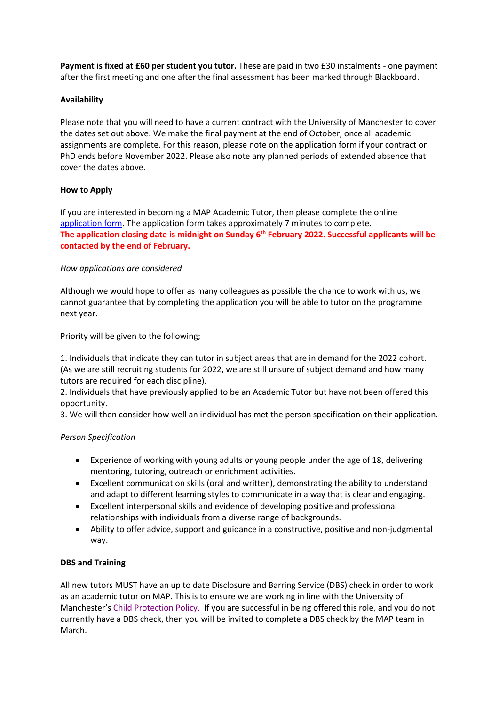**Payment is fixed at £60 per student you tutor.** These are paid in two £30 instalments - one payment after the first meeting and one after the final assessment has been marked through Blackboard.

## **Availability**

Please note that you will need to have a current contract with the University of Manchester to cover the dates set out above. We make the final payment at the end of October, once all academic assignments are complete. For this reason, please note on the application form if your contract or PhD ends before November 2022. Please also note any planned periods of extended absence that cover the dates above.

## **How to Apply**

If you are interested in becoming a MAP Academic Tutor, then please complete the online [application form.](https://www.qualtrics.manchester.ac.uk/jfe/form/SV_6wZ6k1huXRgYwT4) The application form takes approximately 7 minutes to complete. **The application closing date is midnight on Sunday 6 th February 2022. Successful applicants will be contacted by the end of February.**

#### *How applications are considered*

Although we would hope to offer as many colleagues as possible the chance to work with us, we cannot guarantee that by completing the application you will be able to tutor on the programme next year.

Priority will be given to the following;

1. Individuals that indicate they can tutor in subject areas that are in demand for the 2022 cohort. (As we are still recruiting students for 2022, we are still unsure of subject demand and how many tutors are required for each discipline).

2. Individuals that have previously applied to be an Academic Tutor but have not been offered this opportunity.

3. We will then consider how well an individual has met the person specification on their application.

## *Person Specification*

- Experience of working with young adults or young people under the age of 18, delivering mentoring, tutoring, outreach or enrichment activities.
- Excellent communication skills (oral and written), demonstrating the ability to understand and adapt to different learning styles to communicate in a way that is clear and engaging.
- Excellent interpersonal skills and evidence of developing positive and professional relationships with individuals from a diverse range of backgrounds.
- Ability to offer advice, support and guidance in a constructive, positive and non-judgmental way.

#### **DBS and Training**

All new tutors MUST have an up to date Disclosure and Barring Service (DBS) check in order to work as an academic tutor on MAP. This is to ensure we are working in line with the University of Manchester's [Child Protection Policy.](http://documents.manchester.ac.uk/DocuInfo.aspx?DocID=4287) If you are successful in being offered this role, and you do not currently have a DBS check, then you will be invited to complete a DBS check by the MAP team in March.